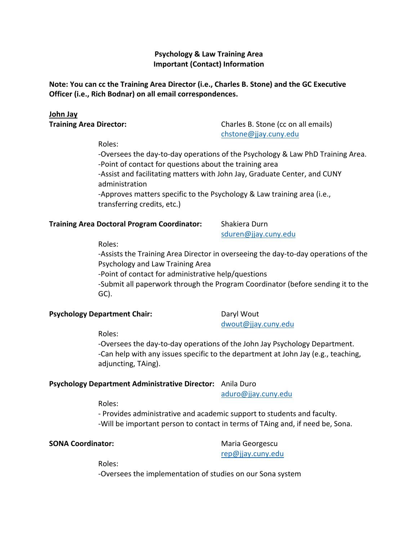#### **Psychology & Law Training Area Important (Contact) Information**

**Note: You can cc the Training Area Director (i.e., Charles B. Stone) and the GC Executive Officer (i.e., Rich Bodnar) on all email correspondences.**

#### **John Jay**

**Training Area Director:** Charles B. Stone (cc on all emails) [chstone@jjay.cuny.edu](mailto:chstone@jjay.cuny.edu)

Roles:

-Oversees the day-to-day operations of the Psychology & Law PhD Training Area. -Point of contact for questions about the training area -Assist and facilitating matters with John Jay, Graduate Center, and CUNY administration -Approves matters specific to the Psychology & Law training area (i.e., transferring credits, etc.)

#### **Training Area Doctoral Program Coordinator:** Shakiera Durn

[sduren@jjay.cuny.edu](mailto:sduren@jjay.cuny.edu)

Roles:

-Assists the Training Area Director in overseeing the day-to-day operations of the Psychology and Law Training Area

-Point of contact for administrative help/questions

-Submit all paperwork through the Program Coordinator (before sending it to the GC).

#### **Psychology Department Chair:** Daryl Wout

[dwout@jjay.cuny.edu](mailto:dwout@jjay.cuny.edu)

Roles:

-Oversees the day-to-day operations of the John Jay Psychology Department. -Can help with any issues specific to the department at John Jay (e.g., teaching, adjuncting, TAing).

#### **Psychology Department Administrative Director:** Anila Duro

[aduro@jjay.cuny.edu](mailto:aduro@jjay.cuny.edu)

Roles:

- Provides administrative and academic support to students and faculty. -Will be important person to contact in terms of TAing and, if need be, Sona.

#### **SONA Coordinator:** Maria Georgescu

[rep@jjay.cuny.edu](mailto:rep@jjay.cuny.edu)

Roles:

-Oversees the implementation of studies on our Sona system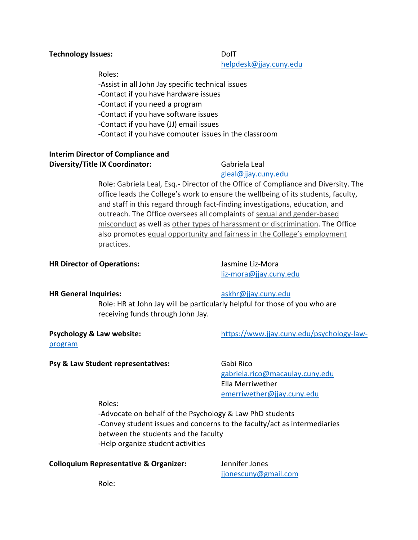#### -Contact if you have software issues -Contact if you have (JJ) email issues

-Contact if you have computer issues in the classroom

-Assist in all John Jay specific technical issues

-Contact if you have hardware issues

-Contact if you need a program

#### **Interim Director of Compliance and Diversity/Title IX Coordinator:** Gabriela Leal

#### [gleal@jjay.cuny.edu](mailto:gleal@jjay.cuny.edu)

Role: Gabriela Leal, Esq.- Director of the Office of Compliance and Diversity. The office leads the College's work to ensure the wellbeing of its students, faculty, and staff in this regard through fact-finding investigations, education, and outreach. The Office oversees all complaints of [sexual and gender-based](https://www.jjay.cuny.edu/title-ix-sexual-misconduct-and-sex-discrimination)  [misconduct](https://www.jjay.cuny.edu/title-ix-sexual-misconduct-and-sex-discrimination) as well as [other types of harassment or discrimination.](https://www.jjay.cuny.edu/preventing-harassment-and-discrimination-fostering-diversity-and-inclusion#open-modal) The Office also promotes [equal opportunity and fairness in the College's employment](https://www.jjay.cuny.edu/affirmative-action-diversity-and-inclusion)  [practices.](https://www.jjay.cuny.edu/affirmative-action-diversity-and-inclusion)

#### **HR Director of Operations:** Jasmine Liz-Mora

[liz-mora@jjay.cuny.edu](mailto:liz-mora@jjay.cuny.edu)

#### **HR General Inquiries:** [askhr@jjay.cuny.edu](mailto:askhr@jjay.cuny.edu)

[program](https://www.jjay.cuny.edu/psychology-law-program)

Role: HR at John Jay will be particularly helpful for those of you who are receiving funds through John Jay.

**Psychology & Law website:** [https://www.jjay.cuny.edu/psychology-law-](https://www.jjay.cuny.edu/psychology-law-program)

#### **Psy & Law Student representatives:** Gabi Rico

[gabriela.rico@macaulay.cuny.edu](mailto:gabriela.rico@macaulay.cuny.edu) Ella Merriwether [emerriwether@jjay.cuny.edu](mailto:emerriwether@jjay.cuny.edu)

#### Roles:

-Advocate on behalf of the Psychology & Law PhD students -Convey student issues and concerns to the faculty/act as intermediaries between the students and the faculty -Help organize student activities

#### **Colloquium Representative & Organizer:** Jennifer Jones

[jjonescuny@gmail.com](mailto:jjonescuny@gmail.com)

Role:

#### **Technology Issues:** DoIT

[helpdesk@jjay.cuny.edu](mailto:helpdesk@jjay.cuny.edu)

Roles: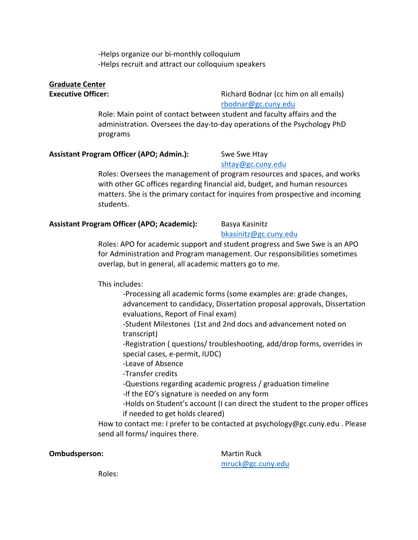-Helps organize our bi-monthly colloquium -Helps recruit and attract our colloquium speakers

### **Graduate Center**

**Executive Officer:** The Contract Richard Bodnar (cc him on all emails) [rbodnar@gc.cuny.edu](mailto:rbodnar@gc.cuny.edu)

> Role: Main point of contact between student and faculty affairs and the administration. Oversees the day-to-day operations of the Psychology PhD programs

#### Assistant Program Officer (APO; Admin.): Swe Swe Htay

# [shtay@gc.cuny.edu](mailto:shtay@gc.cuny.edu)

Roles: Oversees the management of program resources and spaces, and works with other GC offices regarding financial aid, budget, and human resources matters. She is the primary contact for inquires from prospective and incoming students.

#### **Assistant Program Officer (APO; Academic):** Basya Kasinitz

#### [bkasinitz@gc.cuny.edu](mailto:bkasinitz@gc.cuny.edu)

Roles: APO for academic support and student progress and Swe Swe is an APO for Administration and Program management. Our responsibilities sometimes overlap, but in general, all academic matters go to me.

This includes:

-Processing all academic forms (some examples are: grade changes, advancement to candidacy, Dissertation proposal approvals, Dissertation evaluations, Report of Final exam)

-Student Milestones (1st and 2nd docs and advancement noted on transcript)

-Registration ( questions/ troubleshooting, add/drop forms, overrides in special cases, e-permit, IUDC)

-Leave of Absence

-Transfer credits

-Questions regarding academic progress / graduation timeline

-If the EO's signature is needed on any form

-Holds on Student's account (I can direct the student to the proper offices if needed to get holds cleared)

How to contact me: I prefer to be contacted at psychology@gc.cuny.edu . Please send all forms/ inquires there.

**Ombudsperson:** Martin Ruck

[mruck@gc.cuny.edu](mailto:mruck@gc.cuny.edu)

Roles: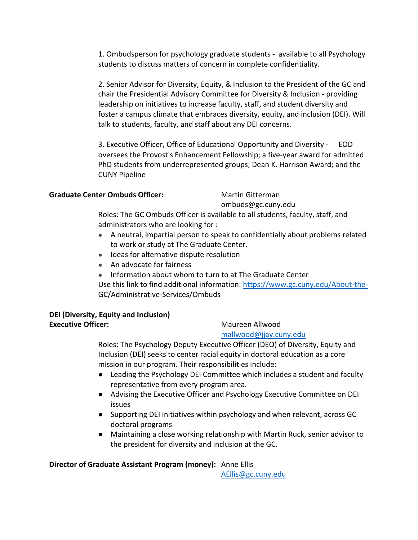1. Ombudsperson for psychology graduate students - available to all Psychology students to discuss matters of concern in complete confidentiality.

2. Senior Advisor for Diversity, Equity, & Inclusion to the President of the GC and chair the Presidential Advisory Committee for Diversity & Inclusion - providing leadership on initiatives to increase faculty, staff, and student diversity and foster a campus climate that embraces diversity, equity, and inclusion (DEI). Will talk to students, faculty, and staff about any DEI concerns.

3. Executive Officer, Office of Educational Opportunity and Diversity - EOD oversees the Provost's Enhancement Fellowship; a five-year award for admitted PhD students from underrepresented groups; Dean K. Harrison Award; and the CUNY Pipeline

**Graduate Center Ombuds Officer:** Martin Gitterman

ombuds@gc.cuny.edu

Roles: The GC Ombuds Officer is available to all students, faculty, staff, and administrators who are looking for :

- A neutral, impartial person to speak to confidentially about problems related to work or study at The Graduate Center.
- Ideas for alternative dispute resolution
- An advocate for fairness
- Information about whom to turn to at The Graduate Center

Use this link to find additional information:<https://www.gc.cuny.edu/About-the->GC/Administrative-Services/Ombuds

#### **DEI (Diversity, Equity and Inclusion) Executive Officer:** Maureen Allwood

[mallwood@jjay.cuny.edu](mailto:mallwood@jjay.cuny.edu)

Roles: The Psychology Deputy Executive Officer (DEO) of Diversity, Equity and Inclusion (DEI) seeks to center racial equity in doctoral education as a core mission in our program. Their responsibilities include:

- Leading the Psychology DEI Committee which includes a student and faculty representative from every program area.
- Advising the Executive Officer and Psychology Executive Committee on DEI issues
- Supporting DEI initiatives within psychology and when relevant, across GC doctoral programs
- Maintaining a close working relationship with Martin Ruck, senior advisor to the president for diversity and inclusion at the GC.

#### **Director of Graduate Assistant Program (money):** Anne Ellis

[AEllis@gc.cuny.edu](mailto:AEllis@gc.cuny.edu)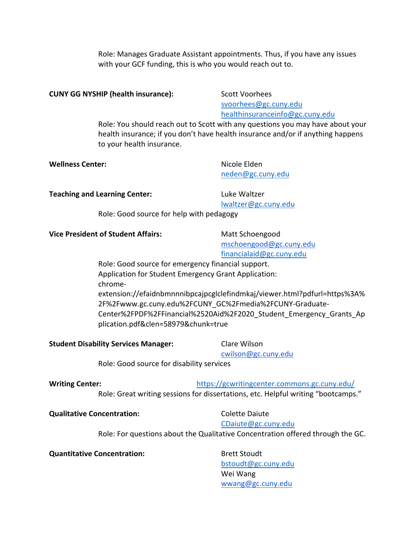Role: Manages Graduate Assistant appointments. Thus, if you have any issues with your GCF funding, this is who you would reach out to.

#### **CUNY GG NYSHIP (health insurance):** Scott Voorhees

[svoorhees@gc.cuny.edu](mailto:svoorhees@gc.cuny.edu) [healthinsuranceinfo@gc.cuny.edu](mailto:healthinsuranceinfo@gc.cuny.edu)

Role: You should reach out to Scott with any questions you may have about your health insurance; if you don't have health insurance and/or if anything happens to your health insurance.

| <b>Wellness Center:</b> | Nicole Elden      |
|-------------------------|-------------------|
|                         | neden@gc.cuny.edu |
|                         |                   |

**Teaching and Learning Center:** Luke Waltzer

[lwaltzer@gc.cuny.edu](mailto:lwaltzer@gc.cuny.edu)

Role: Good source for help with pedagogy

#### **Vice President of Student Affairs:** Matt Schoengood

[mschoengood@gc.cuny.edu](mailto:mschoengood@gc.cuny.edu) [financialaid@gc.cuny.edu](mailto:financialaid@gc.cuny.edu)

Role: Good source for emergency financial support. Application for Student Emergency Grant Application: chromeextension://efaidnbmnnnibpcajpcglclefindmkaj/viewer.html?pdfurl=https%3A% 2F%2Fwww.gc.cuny.edu%2FCUNY\_GC%2Fmedia%2FCUNY-Graduate-Center%2FPDF%2FFinancial%2520Aid%2F2020\_Student\_Emergency\_Grants\_Ap plication.pdf&clen=58979&chunk=true

**Student Disability Services Manager:** Clare Wilson

[cwilson@gc.cuny.edu](mailto:cwilson@gc.cuny.edu)

Role: Good source for disability services

### **Writing Center:** <https://gcwritingcenter.commons.gc.cuny.edu/>

Role: Great writing sessions for dissertations, etc. Helpful writing "bootcamps."

#### **Qualitative Concentration:** Colette Daiute

## [CDaiute@gc.cuny.edu](mailto:CDaiute@gc.cuny.edu)

Role: For questions about the Qualitative Concentration offered through the GC.

#### **Quantitative Concentration:** Brett Stoudt

[bstoudt@gc.cuny.edu](mailto:bstoudt@gc.cuny.edu) Wei Wang [wwang@gc.cuny.edu](mailto:wwang@gc.cuny.edu)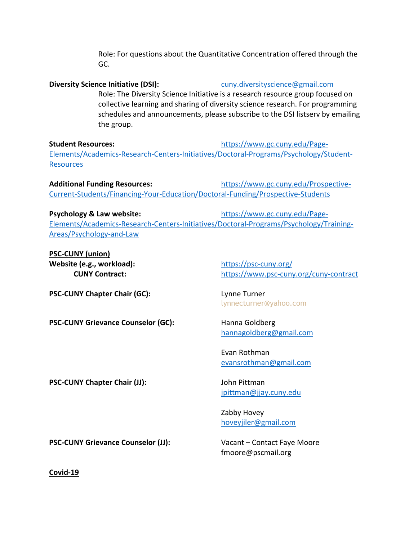Role: For questions about the Quantitative Concentration offered through the GC.

**Diversity Science Initiative (DSI):** [cuny.diversityscience@gmail.com](mailto:cuny.diversityscience@gmail.com) Role: The Diversity Science Initiative is a research resource group focused on collective learning and sharing of diversity science research. For programming schedules and announcements, please subscribe to the DSI listserv by emailing the group.

**Student Resources:** [https://www.gc.cuny.edu/Page-](https://www.gc.cuny.edu/Page-Elements/Academics-Research-Centers-Initiatives/Doctoral-Programs/Psychology/Student-Resources)[Elements/Academics-Research-Centers-Initiatives/Doctoral-Programs/Psychology/Student-](https://www.gc.cuny.edu/Page-Elements/Academics-Research-Centers-Initiatives/Doctoral-Programs/Psychology/Student-Resources)**[Resources](https://www.gc.cuny.edu/Page-Elements/Academics-Research-Centers-Initiatives/Doctoral-Programs/Psychology/Student-Resources)** 

**Additional Funding Resources:** [https://www.gc.cuny.edu/Prospective-](https://www.gc.cuny.edu/Prospective-Current-Students/Financing-Your-Education/Doctoral-Funding/Prospective-Students)[Current-Students/Financing-Your-Education/Doctoral-Funding/Prospective-Students](https://www.gc.cuny.edu/Prospective-Current-Students/Financing-Your-Education/Doctoral-Funding/Prospective-Students)

**Psychology & Law website:** [https://www.gc.cuny.edu/Page-](https://www.gc.cuny.edu/Page-Elements/Academics-Research-Centers-Initiatives/Doctoral-Programs/Psychology/Training-Areas/Psychology-and-Law)[Elements/Academics-Research-Centers-Initiatives/Doctoral-Programs/Psychology/Training-](https://www.gc.cuny.edu/Page-Elements/Academics-Research-Centers-Initiatives/Doctoral-Programs/Psychology/Training-Areas/Psychology-and-Law)[Areas/Psychology-and-Law](https://www.gc.cuny.edu/Page-Elements/Academics-Research-Centers-Initiatives/Doctoral-Programs/Psychology/Training-Areas/Psychology-and-Law)

**PSC-CUNY (union) Website (e.g., workload):** <https://psc-cuny.org/>

**CUNY Contract:** <https://www.psc-cuny.org/cuny-contract>

**PSC-CUNY Chapter Chair (GC):** Lynne Turner

**PSC-CUNY Grievance Counselor (GC):** Hanna Goldberg

[lynnecturner@yahoo.com](mailto:lynnecturner@yahoo.com)

[hannagoldberg@gmail.com](mailto:hannagoldberg@gmail.com)

Evan Rothman [evansrothman@gmail.com](mailto:evansrothman@gmail.com)

**PSC-CUNY Chapter Chair (JJ):** John Pittman

[jpittman@jjay.cuny.edu](mailto:jpittman@jjay.cuny.edu)

Zabby Hovey [hoveyjiler@gmail.com](mailto:hoveyjiler@gmail.com)

**PSC-CUNY Grievance Counselor (JJ):** Vacant – Contact Faye Moore

fmoore@pscmail.org

**Covid-19**